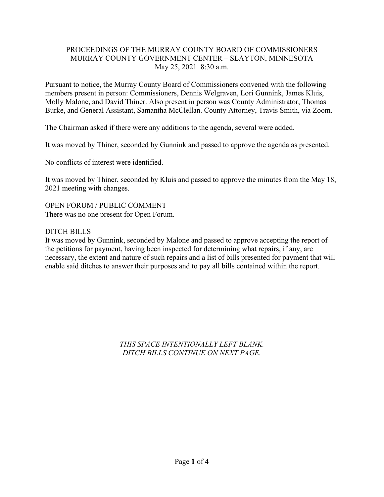### PROCEEDINGS OF THE MURRAY COUNTY BOARD OF COMMISSIONERS MURRAY COUNTY GOVERNMENT CENTER – SLAYTON, MINNESOTA May 25, 2021 8:30 a.m.

Pursuant to notice, the Murray County Board of Commissioners convened with the following members present in person: Commissioners, Dennis Welgraven, Lori Gunnink, James Kluis, Molly Malone, and David Thiner. Also present in person was County Administrator, Thomas Burke, and General Assistant, Samantha McClellan. County Attorney, Travis Smith, via Zoom.

The Chairman asked if there were any additions to the agenda, several were added.

It was moved by Thiner, seconded by Gunnink and passed to approve the agenda as presented.

No conflicts of interest were identified.

It was moved by Thiner, seconded by Kluis and passed to approve the minutes from the May 18, 2021 meeting with changes.

OPEN FORUM / PUBLIC COMMENT There was no one present for Open Forum.

# DITCH BILLS

It was moved by Gunnink, seconded by Malone and passed to approve accepting the report of the petitions for payment, having been inspected for determining what repairs, if any, are necessary, the extent and nature of such repairs and a list of bills presented for payment that will enable said ditches to answer their purposes and to pay all bills contained within the report.

> *THIS SPACE INTENTIONALLY LEFT BLANK. DITCH BILLS CONTINUE ON NEXT PAGE.*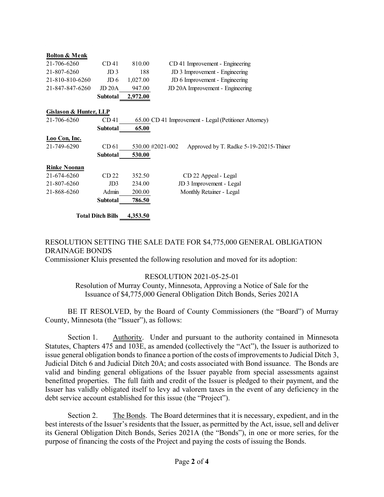| <b>Bolton &amp; Menk</b> |                          |          |                                                            |  |
|--------------------------|--------------------------|----------|------------------------------------------------------------|--|
| 21-706-6260              | CD <sub>41</sub>         | 810.00   | CD 41 Improvement - Engineering                            |  |
| 21-807-6260              | JD <sub>3</sub>          | 188      | JD 3 Improvement - Engineering                             |  |
| 21-810-810-6260          | JD <sub>6</sub>          | 1,027.00 | JD 6 Improvement - Engineering                             |  |
| 21-847-847-6260          | JD 20A                   | 947.00   | JD 20A Improvement - Engineering                           |  |
|                          | Subtotal                 | 2,972.00 |                                                            |  |
| Gislason & Hunter, LLP   |                          |          |                                                            |  |
| 21-706-6260              | CD <sub>41</sub>         |          | 65.00 CD 41 Improvement - Legal (Petitioner Attorney)      |  |
|                          | <b>Subtotal</b>          | 65.00    |                                                            |  |
| Loo Con, Inc.            |                          |          |                                                            |  |
| 21-749-6290              | CD 61                    |          | 530.00 #2021-002<br>Approved by T. Radke 5-19-20215-Thiner |  |
|                          | <b>Subtotal</b>          | 530.00   |                                                            |  |
| <b>Rinke Noonan</b>      |                          |          |                                                            |  |
| 21-674-6260              | CD 22                    | 352.50   | CD 22 Appeal - Legal                                       |  |
| 21-807-6260              | JD3                      | 234.00   | JD 3 Improvement - Legal                                   |  |
| 21-868-6260              | Admin                    | 200.00   | Monthly Retainer - Legal                                   |  |
|                          | Subtotal                 | 786.50   |                                                            |  |
|                          | <b>Total Ditch Bills</b> | 4,353.50 |                                                            |  |

### RESOLUTION SETTING THE SALE DATE FOR \$4,775,000 GENERAL OBLIGATION DRAINAGE BONDS

Commissioner Kluis presented the following resolution and moved for its adoption:

# RESOLUTION 2021-05-25-01

Resolution of Murray County, Minnesota, Approving a Notice of Sale for the Issuance of \$4,775,000 General Obligation Ditch Bonds, Series 2021A

BE IT RESOLVED, by the Board of County Commissioners (the "Board") of Murray County, Minnesota (the "Issuer"), as follows:

Section 1. Authority. Under and pursuant to the authority contained in Minnesota Statutes, Chapters 475 and 103E, as amended (collectively the "Act"), the Issuer is authorized to issue general obligation bonds to finance a portion of the costs of improvements to Judicial Ditch 3, Judicial Ditch 6 and Judicial Ditch 20A; and costs associated with Bond issuance. The Bonds are valid and binding general obligations of the Issuer payable from special assessments against benefitted properties. The full faith and credit of the Issuer is pledged to their payment, and the Issuer has validly obligated itself to levy ad valorem taxes in the event of any deficiency in the debt service account established for this issue (the "Project").

Section 2. The Bonds. The Board determines that it is necessary, expedient, and in the best interests of the Issuer's residents that the Issuer, as permitted by the Act, issue, sell and deliver its General Obligation Ditch Bonds, Series 2021A (the "Bonds"), in one or more series, for the purpose of financing the costs of the Project and paying the costs of issuing the Bonds.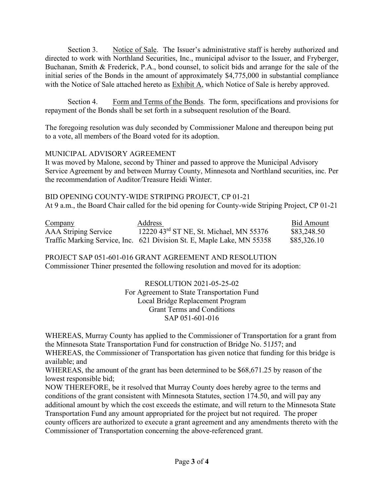Section 3. Notice of Sale. The Issuer's administrative staff is hereby authorized and directed to work with Northland Securities, Inc., municipal advisor to the Issuer, and Fryberger, Buchanan, Smith & Frederick, P.A., bond counsel, to solicit bids and arrange for the sale of the initial series of the Bonds in the amount of approximately \$4,775,000 in substantial compliance with the Notice of Sale attached hereto as Exhibit A, which Notice of Sale is hereby approved.

Section 4. Form and Terms of the Bonds. The form, specifications and provisions for repayment of the Bonds shall be set forth in a subsequent resolution of the Board.

The foregoing resolution was duly seconded by Commissioner Malone and thereupon being put to a vote, all members of the Board voted for its adoption.

### MUNICIPAL ADVISORY AGREEMENT

It was moved by Malone, second by Thiner and passed to approve the Municipal Advisory Service Agreement by and between Murray County, Minnesota and Northland securities, inc. Per the recommendation of Auditor/Treasure Heidi Winter.

BID OPENING COUNTY-WIDE STRIPING PROJECT, CP 01-21 At 9 a.m., the Board Chair called for the bid opening for County-wide Striping Project, CP 01-21

| Company              | <b>Address</b>                                                         | Bid Amount  |
|----------------------|------------------------------------------------------------------------|-------------|
| AAA Striping Service | 12220 43rd ST NE, St. Michael, MN 55376                                | \$83,248.50 |
|                      | Traffic Marking Service, Inc. 621 Division St. E, Maple Lake, MN 55358 | \$85,326.10 |

PROJECT SAP 051-601-016 GRANT AGREEMENT AND RESOLUTION Commissioner Thiner presented the following resolution and moved for its adoption:

> RESOLUTION 2021-05-25-02 For Agreement to State Transportation Fund Local Bridge Replacement Program Grant Terms and Conditions SAP 051-601-016

WHEREAS, Murray County has applied to the Commissioner of Transportation for a grant from the Minnesota State Transportation Fund for construction of Bridge No. 51J57; and

WHEREAS, the Commissioner of Transportation has given notice that funding for this bridge is available; and

WHEREAS, the amount of the grant has been determined to be \$68,671.25 by reason of the lowest responsible bid;

NOW THEREFORE, be it resolved that Murray County does hereby agree to the terms and conditions of the grant consistent with Minnesota Statutes, section 174.50, and will pay any additional amount by which the cost exceeds the estimate, and will return to the Minnesota State Transportation Fund any amount appropriated for the project but not required. The proper county officers are authorized to execute a grant agreement and any amendments thereto with the Commissioner of Transportation concerning the above-referenced grant.